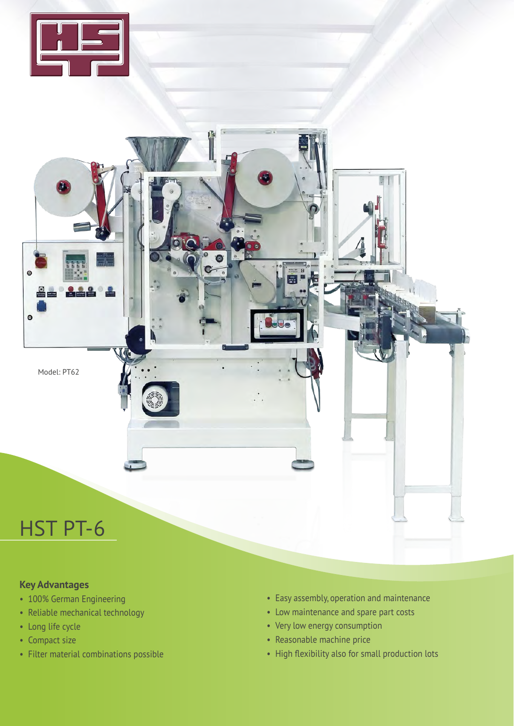



## **Key Advantages**

- 100% German Engineering
- Reliable mechanical technology
- Long life cycle
- Compact size
- Filter material combinations possible
- Easy assembly, operation and maintenance
- Low maintenance and spare part costs
- Very low energy consumption
- Reasonable machine price
- High flexibility also for small production lots